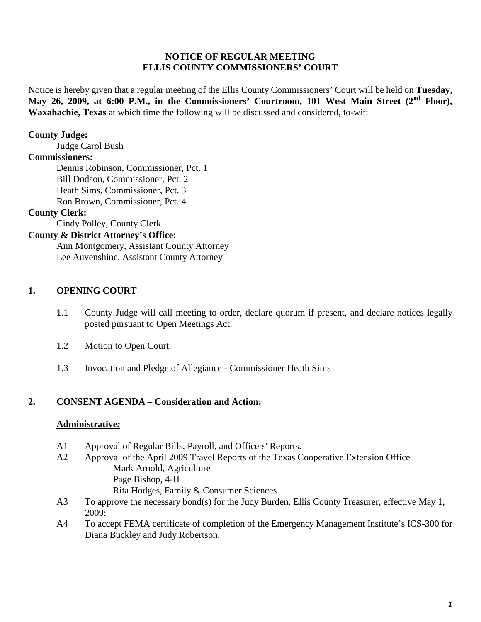### **NOTICE OF REGULAR MEETING ELLIS COUNTY COMMISSIONERS' COURT**

Notice is hereby given that a regular meeting of the Ellis County Commissioners' Court will be held on **Tuesday,**  May 26, 2009, at 6:00 P.M., in the Commissioners' Courtroom, 101 West Main Street (2<sup>nd</sup> Floor), **Waxahachie, Texas** at which time the following will be discussed and considered, to-wit:

### **County Judge:**

Judge Carol Bush

### **Commissioners:**

Dennis Robinson, Commissioner, Pct. 1 Bill Dodson, Commissioner, Pct. 2 Heath Sims, Commissioner, Pct. 3 Ron Brown, Commissioner, Pct. 4

### **County Clerk:**

Cindy Polley, County Clerk

### **County & District Attorney's Office:**

Ann Montgomery, Assistant County Attorney Lee Auvenshine, Assistant County Attorney

### **1. OPENING COURT**

- 1.1 County Judge will call meeting to order, declare quorum if present, and declare notices legally posted pursuant to Open Meetings Act.
- 1.2 Motion to Open Court.
- 1.3 Invocation and Pledge of Allegiance Commissioner Heath Sims

### **2. CONSENT AGENDA – Consideration and Action:**

#### **Administrative***:*

- A1 Approval of Regular Bills, Payroll, and Officers' Reports.
- A2 Approval of the April 2009 Travel Reports of the Texas Cooperative Extension Office Mark Arnold, Agriculture Page Bishop, 4-H Rita Hodges, Family & Consumer Sciences
- A3 To approve the necessary bond(s) for the Judy Burden, Ellis County Treasurer, effective May 1, 2009:
- A4 To accept FEMA certificate of completion of the Emergency Management Institute's ICS-300 for Diana Buckley and Judy Robertson.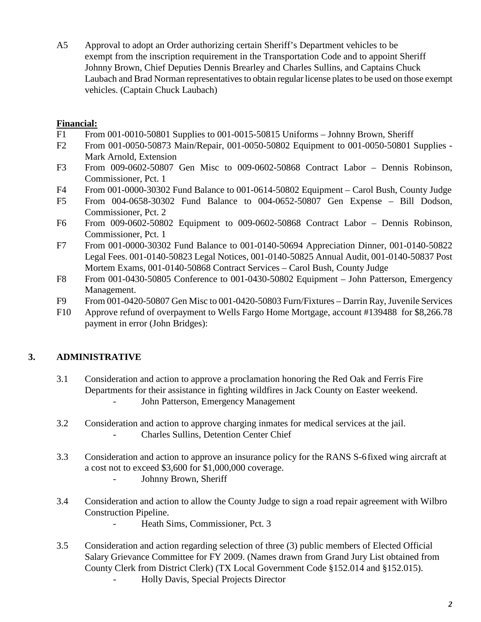A5 Approval to adopt an Order authorizing certain Sheriff's Department vehicles to be exempt from the inscription requirement in the Transportation Code and to appoint Sheriff Johnny Brown, Chief Deputies Dennis Brearley and Charles Sullins, and Captains Chuck Laubach and Brad Norman representatives to obtain regular license plates to be used on those exempt vehicles. (Captain Chuck Laubach)

### **Financial:**

- F1 From 001-0010-50801 Supplies to 001-0015-50815 Uniforms Johnny Brown, Sheriff
- F2 From 001-0050-50873 Main/Repair, 001-0050-50802 Equipment to 001-0050-50801 Supplies Mark Arnold, Extension
- F3 From 009-0602-50807 Gen Misc to 009-0602-50868 Contract Labor Dennis Robinson, Commissioner, Pct. 1
- F4 From 001-0000-30302 Fund Balance to 001-0614-50802 Equipment Carol Bush, County Judge
- F5 From 004-0658-30302 Fund Balance to 004-0652-50807 Gen Expense Bill Dodson, Commissioner, Pct. 2
- F6 From 009-0602-50802 Equipment to 009-0602-50868 Contract Labor Dennis Robinson, Commissioner, Pct. 1
- F7 From 001-0000-30302 Fund Balance to 001-0140-50694 Appreciation Dinner, 001-0140-50822 Legal Fees. 001-0140-50823 Legal Notices, 001-0140-50825 Annual Audit, 001-0140-50837 Post Mortem Exams, 001-0140-50868 Contract Services – Carol Bush, County Judge
- F8 From 001-0430-50805 Conference to 001-0430-50802 Equipment John Patterson, Emergency Management.
- F9 From 001-0420-50807 Gen Misc to 001-0420-50803 Furn/Fixtures Darrin Ray, Juvenile Services
- F10 Approve refund of overpayment to Wells Fargo Home Mortgage, account #139488 for \$8,266.78 payment in error (John Bridges):

# **3. ADMINISTRATIVE**

- 3.1 Consideration and action to approve a proclamation honoring the Red Oak and Ferris Fire Departments for their assistance in fighting wildfires in Jack County on Easter weekend. - John Patterson, Emergency Management
- 3.2 Consideration and action to approve charging inmates for medical services at the jail. - Charles Sullins, Detention Center Chief
- 3.3 Consideration and action to approve an insurance policy for the RANS S-6fixed wing aircraft at a cost not to exceed \$3,600 for \$1,000,000 coverage.
	- Johnny Brown, Sheriff
- 3.4 Consideration and action to allow the County Judge to sign a road repair agreement with Wilbro Construction Pipeline.
	- Heath Sims, Commissioner, Pct. 3
- 3.5 Consideration and action regarding selection of three (3) public members of Elected Official Salary Grievance Committee for FY 2009. (Names drawn from Grand Jury List obtained from County Clerk from District Clerk) (TX Local Government Code §152.014 and §152.015). - Holly Davis, Special Projects Director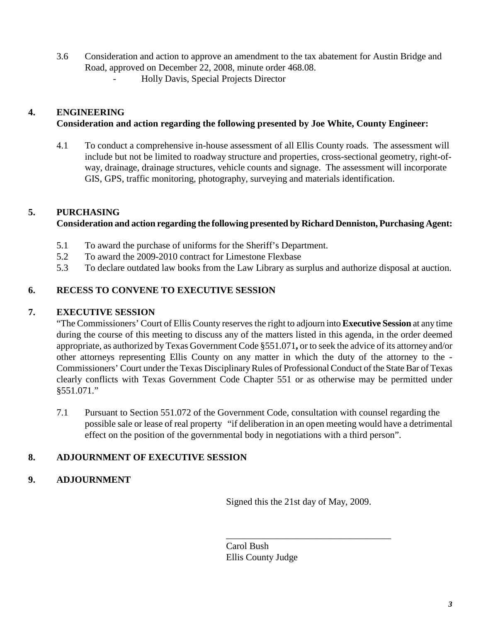- 3.6 Consideration and action to approve an amendment to the tax abatement for Austin Bridge and Road, approved on December 22, 2008, minute order 468.08.
	- Holly Davis, Special Projects Director

# **4. ENGINEERING**

## **Consideration and action regarding the following presented by Joe White, County Engineer:**

4.1 To conduct a comprehensive in-house assessment of all Ellis County roads. The assessment will include but not be limited to roadway structure and properties, cross-sectional geometry, right-ofway, drainage, drainage structures, vehicle counts and signage. The assessment will incorporate GIS, GPS, traffic monitoring, photography, surveying and materials identification.

# **5. PURCHASING**

## **Consideration and action regarding the following presented by Richard Denniston, Purchasing Agent:**

- 5.1 To award the purchase of uniforms for the Sheriff's Department.
- 5.2 To award the 2009-2010 contract for Limestone Flexbase
- 5.3 To declare outdated law books from the Law Library as surplus and authorize disposal at auction.

# **6. RECESS TO CONVENE TO EXECUTIVE SESSION**

## **7. EXECUTIVE SESSION**

"The Commissioners' Court of Ellis County reserves the right to adjourn into **Executive Session** at any time during the course of this meeting to discuss any of the matters listed in this agenda, in the order deemed appropriate, as authorized by Texas Government Code §551.071**,** or to seek the advice of its attorney and/or other attorneys representing Ellis County on any matter in which the duty of the attorney to the - Commissioners' Court under the Texas Disciplinary Rules of Professional Conduct of the State Bar of Texas clearly conflicts with Texas Government Code Chapter 551 or as otherwise may be permitted under §551.071."

7.1 Pursuant to Section 551.072 of the Government Code, consultation with counsel regarding the possible sale or lease of real property "if deliberation in an open meeting would have a detrimental effect on the position of the governmental body in negotiations with a third person".

# **8. ADJOURNMENT OF EXECUTIVE SESSION**

## **9. ADJOURNMENT**

Signed this the 21st day of May, 2009.

\_\_\_\_\_\_\_\_\_\_\_\_\_\_\_\_\_\_\_\_\_\_\_\_\_\_\_\_\_\_\_\_\_\_\_

Carol Bush Ellis County Judge